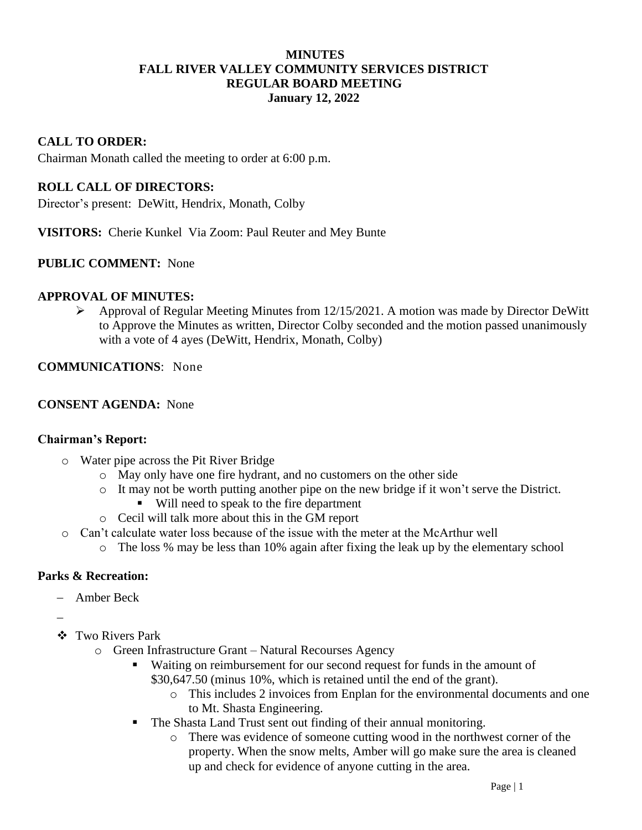## **MINUTES FALL RIVER VALLEY COMMUNITY SERVICES DISTRICT REGULAR BOARD MEETING January 12, 2022**

## **CALL TO ORDER:**

Chairman Monath called the meeting to order at 6:00 p.m.

#### **ROLL CALL OF DIRECTORS:**

Director's present: DeWitt, Hendrix, Monath, Colby

**VISITORS:** Cherie Kunkel Via Zoom: Paul Reuter and Mey Bunte

#### **PUBLIC COMMENT:** None

#### **APPROVAL OF MINUTES:**

➢ Approval of Regular Meeting Minutes from 12/15/2021. A motion was made by Director DeWitt to Approve the Minutes as written, Director Colby seconded and the motion passed unanimously with a vote of 4 ayes (DeWitt, Hendrix, Monath, Colby)

#### **COMMUNICATIONS**: None

#### **CONSENT AGENDA:** None

#### **Chairman's Report:**

- o Water pipe across the Pit River Bridge
	- o May only have one fire hydrant, and no customers on the other side
	- o It may not be worth putting another pipe on the new bridge if it won't serve the District.
		- Will need to speak to the fire department
	- o Cecil will talk more about this in the GM report
- o Can't calculate water loss because of the issue with the meter at the McArthur well
	- o The loss % may be less than 10% again after fixing the leak up by the elementary school

#### **Parks & Recreation:**

- − Amber Beck
- −
- ❖ Two Rivers Park
	- o Green Infrastructure Grant Natural Recourses Agency
		- Waiting on reimbursement for our second request for funds in the amount of \$30,647.50 (minus 10%, which is retained until the end of the grant).
			- o This includes 2 invoices from Enplan for the environmental documents and one to Mt. Shasta Engineering.
		- The Shasta Land Trust sent out finding of their annual monitoring.
			- o There was evidence of someone cutting wood in the northwest corner of the property. When the snow melts, Amber will go make sure the area is cleaned up and check for evidence of anyone cutting in the area.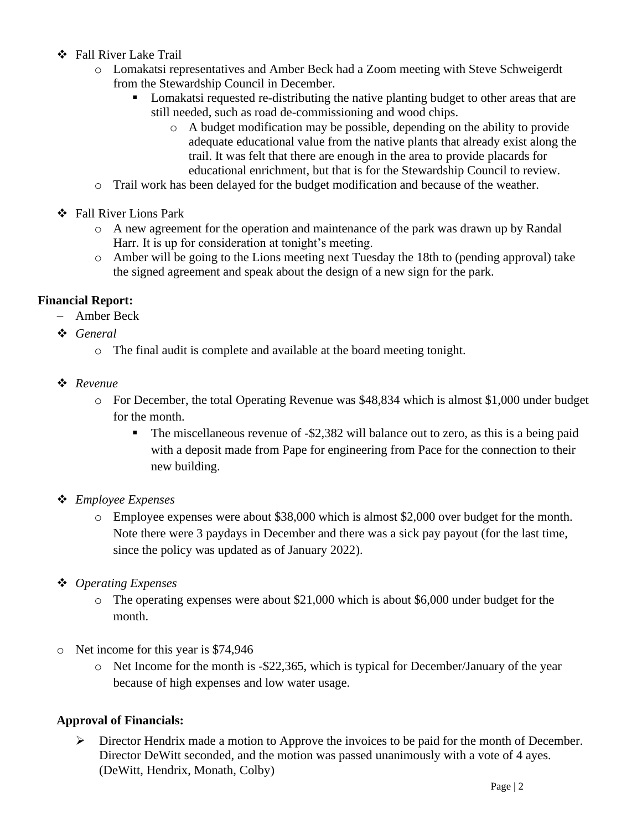- ❖ Fall River Lake Trail
	- o Lomakatsi representatives and Amber Beck had a Zoom meeting with Steve Schweigerdt from the Stewardship Council in December.
		- Lomakatsi requested re-distributing the native planting budget to other areas that are still needed, such as road de-commissioning and wood chips.
			- o A budget modification may be possible, depending on the ability to provide adequate educational value from the native plants that already exist along the trail. It was felt that there are enough in the area to provide placards for educational enrichment, but that is for the Stewardship Council to review.
	- o Trail work has been delayed for the budget modification and because of the weather.
- ❖ Fall River Lions Park
	- o A new agreement for the operation and maintenance of the park was drawn up by Randal Harr. It is up for consideration at tonight's meeting.
	- o Amber will be going to the Lions meeting next Tuesday the 18th to (pending approval) take the signed agreement and speak about the design of a new sign for the park.

# **Financial Report:**

- − Amber Beck
- ❖ *General*
	- o The final audit is complete and available at the board meeting tonight.
- ❖ *Revenue*
	- o For December, the total Operating Revenue was \$48,834 which is almost \$1,000 under budget for the month.
		- $\blacksquare$  The miscellaneous revenue of -\$2,382 will balance out to zero, as this is a being paid with a deposit made from Pape for engineering from Pace for the connection to their new building.

# ❖ *Employee Expenses*

- o Employee expenses were about \$38,000 which is almost \$2,000 over budget for the month. Note there were 3 paydays in December and there was a sick pay payout (for the last time, since the policy was updated as of January 2022).
- ❖ *Operating Expenses*
	- o The operating expenses were about \$21,000 which is about \$6,000 under budget for the month.
- o Net income for this year is \$74,946
	- o Net Income for the month is -\$22,365, which is typical for December/January of the year because of high expenses and low water usage.

# **Approval of Financials:**

 $\triangleright$  Director Hendrix made a motion to Approve the invoices to be paid for the month of December. Director DeWitt seconded, and the motion was passed unanimously with a vote of 4 ayes. (DeWitt, Hendrix, Monath, Colby)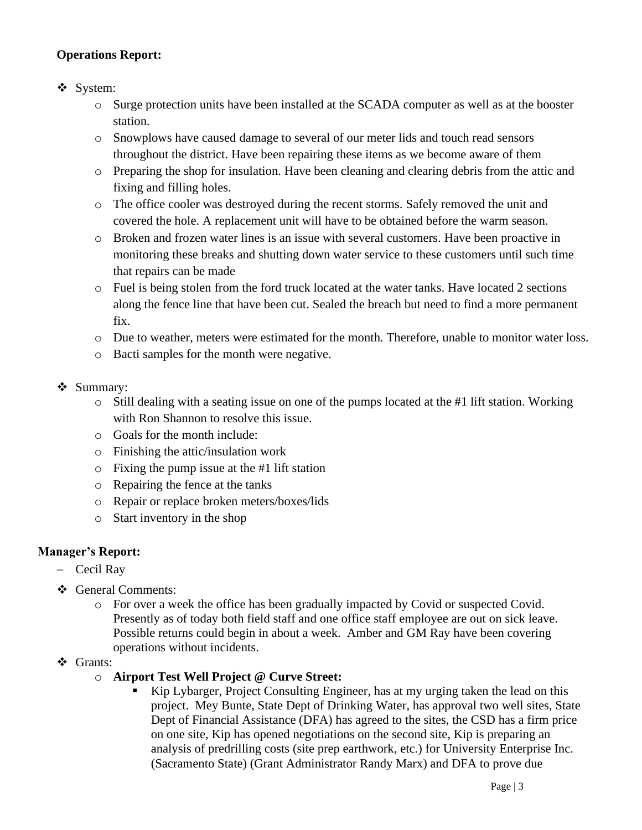# **Operations Report:**

## ❖ System:

- o Surge protection units have been installed at the SCADA computer as well as at the booster station.
- o Snowplows have caused damage to several of our meter lids and touch read sensors throughout the district. Have been repairing these items as we become aware of them
- o Preparing the shop for insulation. Have been cleaning and clearing debris from the attic and fixing and filling holes.
- o The office cooler was destroyed during the recent storms. Safely removed the unit and covered the hole. A replacement unit will have to be obtained before the warm season.
- o Broken and frozen water lines is an issue with several customers. Have been proactive in monitoring these breaks and shutting down water service to these customers until such time that repairs can be made
- o Fuel is being stolen from the ford truck located at the water tanks. Have located 2 sections along the fence line that have been cut. Sealed the breach but need to find a more permanent fix.
- o Due to weather, meters were estimated for the month. Therefore, unable to monitor water loss.
- o Bacti samples for the month were negative.
- ❖ Summary:
	- o Still dealing with a seating issue on one of the pumps located at the #1 lift station. Working with Ron Shannon to resolve this issue.
	- o Goals for the month include:
	- o Finishing the attic/insulation work
	- o Fixing the pump issue at the #1 lift station
	- o Repairing the fence at the tanks
	- o Repair or replace broken meters/boxes/lids
	- o Start inventory in the shop

# **Manager's Report:**

- − Cecil Ray
- ❖ General Comments:
	- o For over a week the office has been gradually impacted by Covid or suspected Covid. Presently as of today both field staff and one office staff employee are out on sick leave. Possible returns could begin in about a week. Amber and GM Ray have been covering operations without incidents.
- ❖ Grants:
	- o **Airport Test Well Project @ Curve Street:** 
		- Kip Lybarger, Project Consulting Engineer, has at my urging taken the lead on this project. Mey Bunte, State Dept of Drinking Water, has approval two well sites, State Dept of Financial Assistance (DFA) has agreed to the sites, the CSD has a firm price on one site, Kip has opened negotiations on the second site, Kip is preparing an analysis of predrilling costs (site prep earthwork, etc.) for University Enterprise Inc. (Sacramento State) (Grant Administrator Randy Marx) and DFA to prove due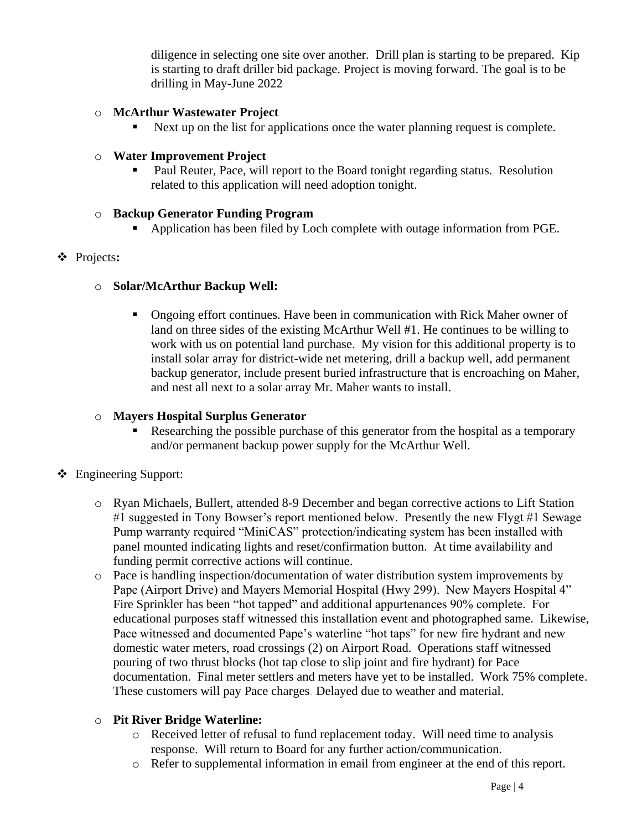diligence in selecting one site over another. Drill plan is starting to be prepared. Kip is starting to draft driller bid package. Project is moving forward. The goal is to be drilling in May-June 2022

## o **McArthur Wastewater Project**

Next up on the list for applications once the water planning request is complete.

## o **Water Improvement Project**

Paul Reuter, Pace, will report to the Board tonight regarding status. Resolution related to this application will need adoption tonight.

## o **Backup Generator Funding Program**

▪ Application has been filed by Loch complete with outage information from PGE.

## ❖ Projects**:**

## o **Solar/McArthur Backup Well:**

**•** Ongoing effort continues. Have been in communication with Rick Maher owner of land on three sides of the existing McArthur Well #1. He continues to be willing to work with us on potential land purchase. My vision for this additional property is to install solar array for district-wide net metering, drill a backup well, add permanent backup generator, include present buried infrastructure that is encroaching on Maher, and nest all next to a solar array Mr. Maher wants to install.

## o **Mayers Hospital Surplus Generator**

Researching the possible purchase of this generator from the hospital as a temporary and/or permanent backup power supply for the McArthur Well.

# ❖ Engineering Support:

- o Ryan Michaels, Bullert, attended 8-9 December and began corrective actions to Lift Station #1 suggested in Tony Bowser's report mentioned below. Presently the new Flygt #1 Sewage Pump warranty required "MiniCAS" protection/indicating system has been installed with panel mounted indicating lights and reset/confirmation button. At time availability and funding permit corrective actions will continue.
- o Pace is handling inspection/documentation of water distribution system improvements by Pape (Airport Drive) and Mayers Memorial Hospital (Hwy 299). New Mayers Hospital 4" Fire Sprinkler has been "hot tapped" and additional appurtenances 90% complete. For educational purposes staff witnessed this installation event and photographed same. Likewise, Pace witnessed and documented Pape's waterline "hot taps" for new fire hydrant and new domestic water meters, road crossings (2) on Airport Road. Operations staff witnessed pouring of two thrust blocks (hot tap close to slip joint and fire hydrant) for Pace documentation. Final meter settlers and meters have yet to be installed. Work 75% complete. These customers will pay Pace charges. Delayed due to weather and material.

## o **Pit River Bridge Waterline:**

- o Received letter of refusal to fund replacement today. Will need time to analysis response. Will return to Board for any further action/communication.
- o Refer to supplemental information in email from engineer at the end of this report.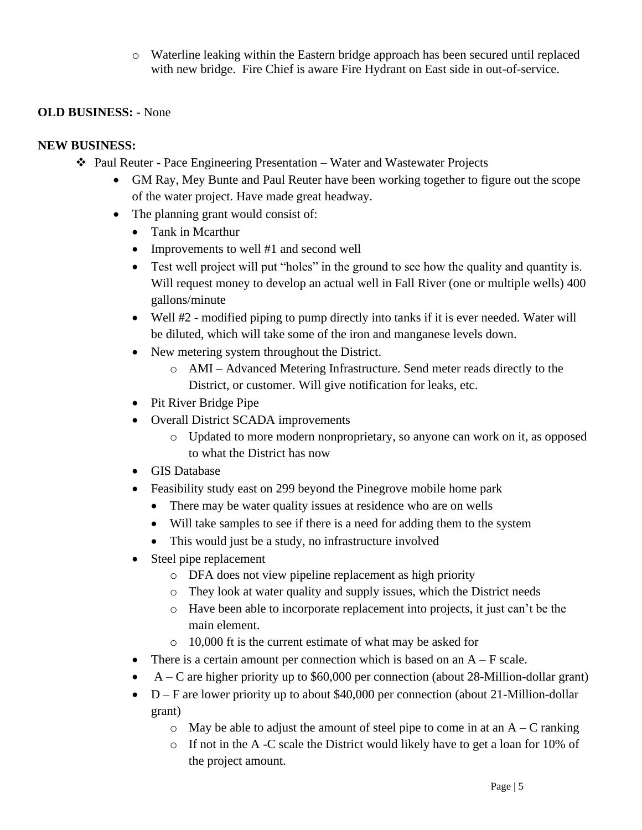o Waterline leaking within the Eastern bridge approach has been secured until replaced with new bridge. Fire Chief is aware Fire Hydrant on East side in out-of-service.

## **OLD BUSINESS: -** None

## **NEW BUSINESS:**

- ❖ Paul Reuter Pace Engineering Presentation Water and Wastewater Projects
	- GM Ray, Mey Bunte and Paul Reuter have been working together to figure out the scope of the water project. Have made great headway.
	- The planning grant would consist of:
		- Tank in Mcarthur
		- Improvements to well #1 and second well
		- Test well project will put "holes" in the ground to see how the quality and quantity is. Will request money to develop an actual well in Fall River (one or multiple wells) 400 gallons/minute
		- Well #2 modified piping to pump directly into tanks if it is ever needed. Water will be diluted, which will take some of the iron and manganese levels down.
		- New metering system throughout the District.
			- o AMI Advanced Metering Infrastructure. Send meter reads directly to the District, or customer. Will give notification for leaks, etc.
		- Pit River Bridge Pipe
		- Overall District SCADA improvements
			- o Updated to more modern nonproprietary, so anyone can work on it, as opposed to what the District has now
		- GIS Database
		- Feasibility study east on 299 beyond the Pinegrove mobile home park
			- There may be water quality issues at residence who are on wells
			- Will take samples to see if there is a need for adding them to the system
			- This would just be a study, no infrastructure involved
		- Steel pipe replacement
			- o DFA does not view pipeline replacement as high priority
			- o They look at water quality and supply issues, which the District needs
			- o Have been able to incorporate replacement into projects, it just can't be the main element.
			- o 10,000 ft is the current estimate of what may be asked for
		- There is a certain amount per connection which is based on an  $A F$  scale.
		- A C are higher priority up to \$60,000 per connection (about 28-Million-dollar grant)
		- D F are lower priority up to about \$40,000 per connection (about 21-Million-dollar grant)
			- $\circ$  May be able to adjust the amount of steel pipe to come in at an A C ranking
			- o If not in the A -C scale the District would likely have to get a loan for 10% of the project amount.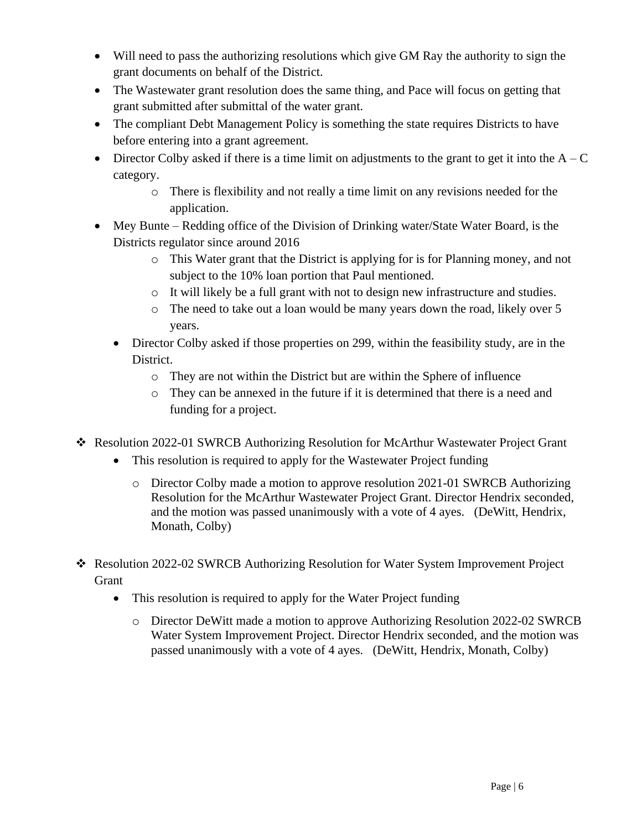- Will need to pass the authorizing resolutions which give GM Ray the authority to sign the grant documents on behalf of the District.
- The Wastewater grant resolution does the same thing, and Pace will focus on getting that grant submitted after submittal of the water grant.
- The compliant Debt Management Policy is something the state requires Districts to have before entering into a grant agreement.
- Director Colby asked if there is a time limit on adjustments to the grant to get it into the  $A C$ category.
	- o There is flexibility and not really a time limit on any revisions needed for the application.
- Mey Bunte Redding office of the Division of Drinking water/State Water Board, is the Districts regulator since around 2016
	- o This Water grant that the District is applying for is for Planning money, and not subject to the 10% loan portion that Paul mentioned.
	- $\circ$  It will likely be a full grant with not to design new infrastructure and studies.
	- o The need to take out a loan would be many years down the road, likely over 5 years.
	- Director Colby asked if those properties on 299, within the feasibility study, are in the District.
		- o They are not within the District but are within the Sphere of influence
		- o They can be annexed in the future if it is determined that there is a need and funding for a project.
- ❖ Resolution 2022-01 SWRCB Authorizing Resolution for McArthur Wastewater Project Grant
	- This resolution is required to apply for the Wastewater Project funding
		- o Director Colby made a motion to approve resolution 2021-01 SWRCB Authorizing Resolution for the McArthur Wastewater Project Grant. Director Hendrix seconded, and the motion was passed unanimously with a vote of 4 ayes. (DeWitt, Hendrix, Monath, Colby)
- ❖ Resolution 2022-02 SWRCB Authorizing Resolution for Water System Improvement Project Grant
	- This resolution is required to apply for the Water Project funding
		- o Director DeWitt made a motion to approve Authorizing Resolution 2022-02 SWRCB Water System Improvement Project. Director Hendrix seconded, and the motion was passed unanimously with a vote of 4 ayes. (DeWitt, Hendrix, Monath, Colby)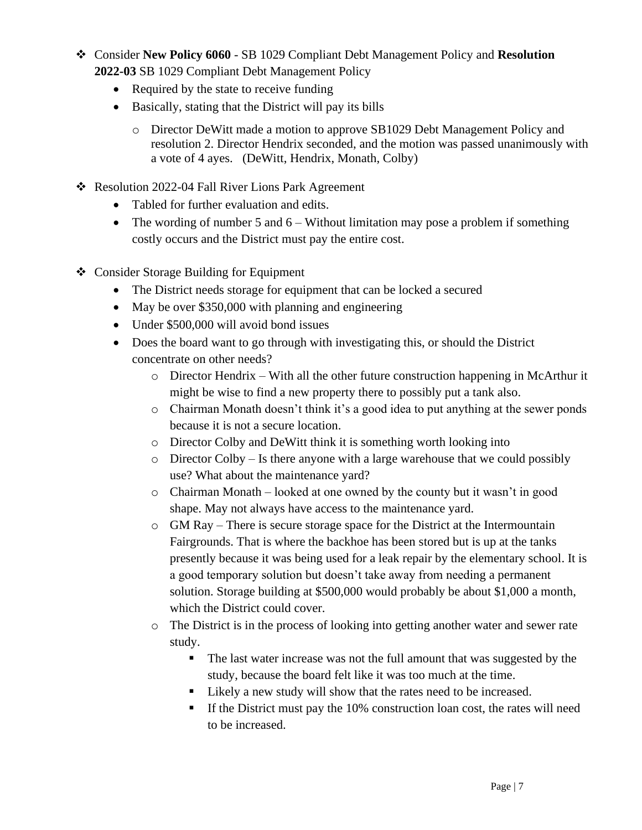- ❖ Consider **New Policy 6060** SB 1029 Compliant Debt Management Policy and **Resolution 2022-03** SB 1029 Compliant Debt Management Policy
	- Required by the state to receive funding
	- Basically, stating that the District will pay its bills
		- o Director DeWitt made a motion to approve SB1029 Debt Management Policy and resolution 2. Director Hendrix seconded, and the motion was passed unanimously with a vote of 4 ayes. (DeWitt, Hendrix, Monath, Colby)
- ❖ Resolution 2022-04 Fall River Lions Park Agreement
	- Tabled for further evaluation and edits.
	- The wording of number 5 and 6 Without limitation may pose a problem if something costly occurs and the District must pay the entire cost.
- ❖ Consider Storage Building for Equipment
	- The District needs storage for equipment that can be locked a secured
	- May be over \$350,000 with planning and engineering
	- Under \$500,000 will avoid bond issues
	- Does the board want to go through with investigating this, or should the District concentrate on other needs?
		- $\circ$  Director Hendrix With all the other future construction happening in McArthur it might be wise to find a new property there to possibly put a tank also.
		- o Chairman Monath doesn't think it's a good idea to put anything at the sewer ponds because it is not a secure location.
		- o Director Colby and DeWitt think it is something worth looking into
		- $\circ$  Director Colby Is there anyone with a large warehouse that we could possibly use? What about the maintenance yard?
		- $\circ$  Chairman Monath looked at one owned by the county but it wasn't in good shape. May not always have access to the maintenance yard.
		- $\circ$  GM Ray There is secure storage space for the District at the Intermountain Fairgrounds. That is where the backhoe has been stored but is up at the tanks presently because it was being used for a leak repair by the elementary school. It is a good temporary solution but doesn't take away from needing a permanent solution. Storage building at \$500,000 would probably be about \$1,000 a month, which the District could cover.
		- o The District is in the process of looking into getting another water and sewer rate study.
			- The last water increase was not the full amount that was suggested by the study, because the board felt like it was too much at the time.
			- Likely a new study will show that the rates need to be increased.
			- If the District must pay the 10% construction loan cost, the rates will need to be increased.